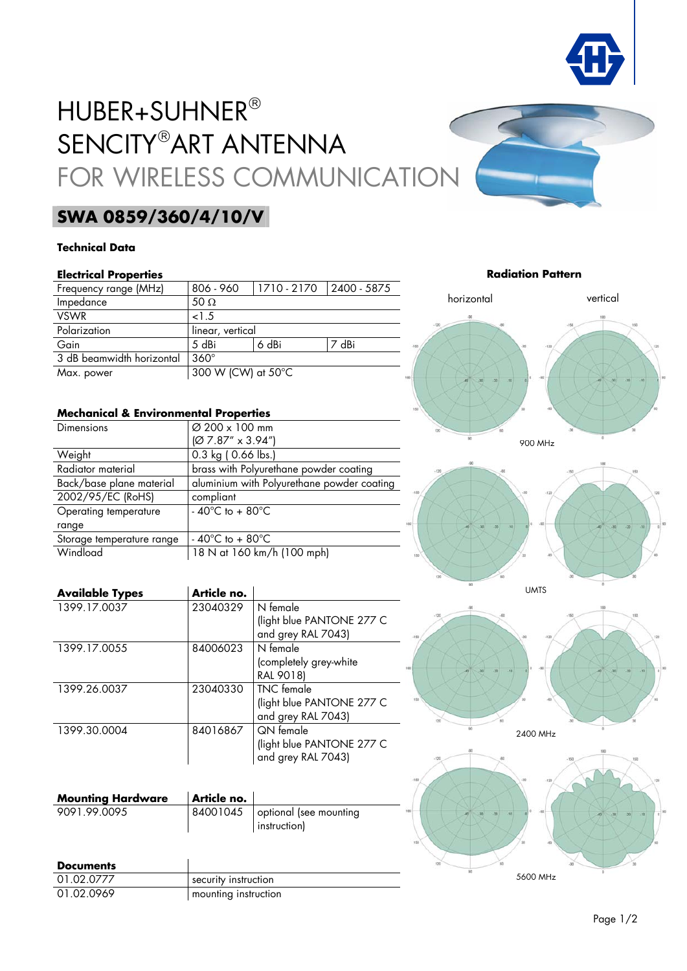

# HUBER+SUHNER® SENCITY®ART ANTENNA FOR WIRELESS COMMUNICATION

## **SWA 0859/360/4/10/V**

### **Technical Data**

### **Electrical Properties**

| Frequency range (MHz)     | 806 - 960          | $1710 - 2170$ | $12400 - 5875$ |
|---------------------------|--------------------|---------------|----------------|
| Impedance                 | 50 $\Omega$        |               |                |
| <b>VSWR</b>               | 1.5                |               |                |
| Polarization              | linear, vertical   |               |                |
| Gain                      | 5 dBi              | 6 dBi         | 7 dBi          |
| 3 dB beamwidth horizontal | $360^\circ$        |               |                |
| Max. power                | 300 W (CW) at 50°C |               |                |

### **Mechanical & Environmental Properties**

| <b>Dimensions</b>         | Ø 200 x 100 mm                             |
|---------------------------|--------------------------------------------|
|                           | $[Ø 7.87" \times 3.94"$                    |
| Weight                    | $0.3$ kg (0.66 lbs.)                       |
| Radiator material         | brass with Polyurethane powder coating     |
| Back/base plane material  | aluminium with Polyurethane powder coating |
| 2002/95/EC (RoHS)         | compliant                                  |
| Operating temperature     | $-40^{\circ}$ C to $+80^{\circ}$ C         |
| range                     |                                            |
| Storage temperature range | - 40 $^{\circ}$ C to + 80 $^{\circ}$ C     |
| Windload                  | 18 N at 160 km/h (100 mph)                 |

| <b>Available Types</b> | Article no. |                           |
|------------------------|-------------|---------------------------|
| 1399 17 0037           | 23040329    | N female                  |
|                        |             | (light blue PANTONE 277 C |
|                        |             | and grey RAL 7043)        |
| 1399.17.0055           | 84006023    | N female                  |
|                        |             | (completely grey-white    |
|                        |             | RAL 9018)                 |
| 1399.26.0037           | 23040330    | <b>TNC</b> female         |
|                        |             | (light blue PANTONE 277 C |
|                        |             | and grey RAL 7043)        |
| 1399.30.0004           | 84016867    | <b>QN</b> female          |
|                        |             | (light blue PANTONE 277 C |
|                        |             | and grey RAL 7043)        |

| <b>Mounting Hardware</b> | Article no. |                                                   |
|--------------------------|-------------|---------------------------------------------------|
| 9091.99.0095             |             | 84001045   optional (see mounting<br>instruction) |

| <b>Documents</b> |                      |
|------------------|----------------------|
| 01.02.0777       | security instruction |
| 01.02.0969       | mounting instruction |

**Radiation Pattern**